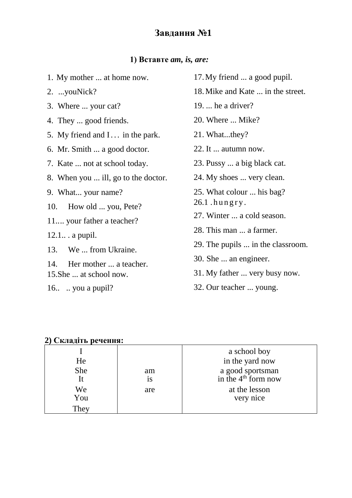## **1) Вставте** *am, is, are:*

| 1. My mother  at home now.                            | 17.1  |
|-------------------------------------------------------|-------|
| 2. youNick?                                           | 18. N |
| 3. Where  your cat?                                   | 19.   |
| 4. They  good friends.                                | 20.   |
| 5. My friend and I in the park.                       | 21.   |
| 6. Mr. Smith  a good doctor.                          | 22.1  |
| 7. Kate  not at school today.                         | 23. I |
| 8. When you  ill, go to the doctor.                   | 24. I |
| 9. What your name?                                    | 25.   |
| 10. How old  you, Pete?                               | 26.1  |
| 11 your father a teacher?                             | 27.   |
| $12.1$ a pupil.                                       | 28.   |
| 13. We  from Ukraine.                                 | 29.7  |
|                                                       | 30.   |
| 14. Her mother  a teacher.<br>15. She  at school now. | 31.1  |
|                                                       |       |

16.. .. you a pupil?

- My friend ... a good pupil.
- Mike and Kate ... in the street.
- ... he a driver?
- Where ... Mike?
- What...they?
- It ... autumn now.
- Pussy ... a big black cat.
- My shoes ... very clean.
- What colour ... his bag?
- . hungry.
- Winter ... a cold season.
- This man ... a farmer.
- The pupils ... in the classroom.
- She ... an engineer.
- My father ... very busy now.
- 32. Our teacher ... young.

### **2) Складіть речення:**

|      |           | a school boy                                        |
|------|-----------|-----------------------------------------------------|
| He   |           | in the yard now                                     |
| She  | am        | a good sportsman<br>in the 4 <sup>th</sup> form now |
| It   | <b>1S</b> |                                                     |
| We   | are       | at the lesson                                       |
| You  |           | very nice                                           |
| They |           |                                                     |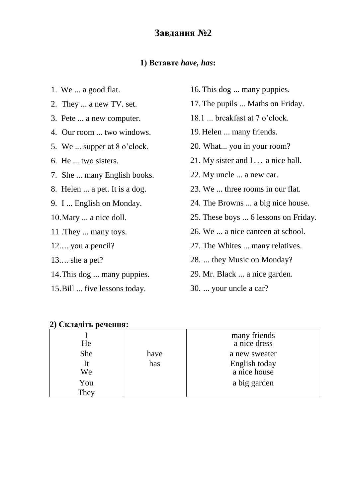#### **1) Вставте** *have, has***:**

- 1. We ... a good flat.
- 2. They ... a new TV. set.
- 3. Pete ... a new computer.
- 4. Our room ... two windows.
- 5. We ... supper at 8 o'clock.
- 6. He ... two sisters.
- 7. She ... many English books.
- 8. Helen ... a pet. It is a dog.
- 9. I ... English on Monday.
- 10.Mary ... a nice doll.
- 11 .They ... many toys.
- 12.... you a pencil?
- 13.... she a pet?
- 14.This dog ... many puppies.
- 15.Bill ... five lessons today.
- 16.This dog ... many puppies.
- 17.The pupils ... Maths on Friday.
- 18.1 ... breakfast at 7 o'clock.
- 19.Helen ... many friends.
- 20. What... you in your room?
- 21. My sister and I... a nice ball.
- 22. My uncle ... a new car.
- 23. We ... three rooms in our flat.
- 24. The Browns ... a big nice house.
- 25. These boys ... 6 lessons on Friday.
- 26. We ... a nice canteen at school.
- 27. The Whites ... many relatives.
- 28. ... they Music on Monday?
- 29. Mr. Black ... a nice garden.
- 30. ... your uncle a car?

| $\rightarrow$ |      |                               |
|---------------|------|-------------------------------|
| He            |      | many friends<br>a nice dress  |
| She           | have | a new sweater                 |
| It<br>We      | has  | English today<br>a nice house |
| You           |      | a big garden                  |
| They          |      |                               |

| 2) Складіть речення: |  |
|----------------------|--|
|                      |  |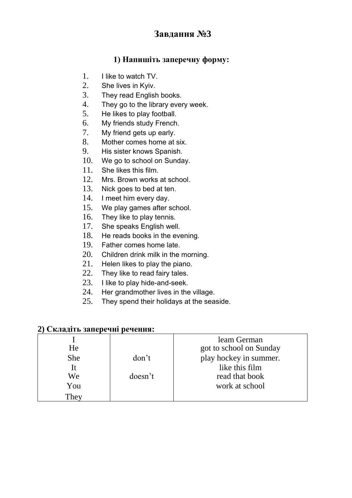## **1) Напишіть заперечну форму:**

- 1. I like to watch TV.
- 2. She lives in Kyiv.
- 3. They read English books.
- 4. They go to the library every week.
- 5. He likes to play football.
- 6. My friends study French.
- 7. My friend gets up early.
- 8. Mother comes home at six.
- 9. His sister knows Spanish.
- 10. We go to school on Sunday.
- 11. She likes this film.
- 12. Mrs. Brown works at school.
- 13. Nick goes to bed at ten.
- 14. I meet him every day.
- 15. We play games after school.
- 16. They like to play tennis.
- 17. She speaks English well.
- 18. He reads books in the evening.
- 19. Father comes home late.
- 20. Children drink milk in the morning.
- 21. Helen likes to play the piano.
- 22. They like to read fairy tales.
- 23. I like to play hide-and-seek.
- 24. Her grandmother lives in the village.
- 25. They spend their holidays at the seaside.

#### **2) Складіть заперечні речення:**

| He         |         | leam German<br>got to school on Sunday |
|------------|---------|----------------------------------------|
| <b>She</b> | don't   | play hockey in summer.                 |
| It         |         | like this film                         |
| We         | doesn't | read that book                         |
| You        |         | work at school                         |
| They       |         |                                        |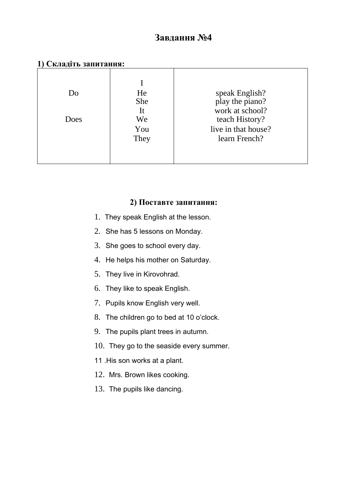| 1) Складіть запитання: |  |
|------------------------|--|
|------------------------|--|

| Do<br>Does | He<br>She<br>It<br>We<br>You<br>They | speak English?<br>play the piano?<br>work at school?<br>teach History?<br>live in that house?<br>learn French? |
|------------|--------------------------------------|----------------------------------------------------------------------------------------------------------------|
|------------|--------------------------------------|----------------------------------------------------------------------------------------------------------------|

#### **2) Поставте запитання:**

- 1. They speak English at the lesson.
- 2. She has 5 lessons on Monday.
- 3. She goes to school every day.
- 4. He helps his mother on Saturday.
- 5. They live in Kirovohrad.
- 6. They like to speak English.
- 7. Pupils know English very well.
- 8. The children go to bed at 10 o'clock.
- 9. The pupils plant trees in autumn.
- 10. They go to the seaside every summer.
- 11 .His son works at a plant.
- 12. Mrs. Brown likes cooking.
- 13. The pupils like dancing.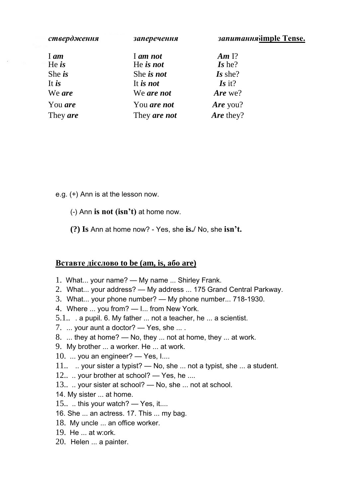| ствердження | заперечення  | запитання imple Tense. |
|-------------|--------------|------------------------|
|             |              |                        |
| $I$ am      | I am not     | Am $\Gamma$ ?          |
| He $is$     | He is not    | Is he?                 |
| She $i$ s   | She is not   | Is she?                |
| It is       | It is not    | $\mathbf{I}$ s it?     |
| We are      | We are not   | Are we?                |
| You are     | You are not  | Are you?               |
| They are    | They are not | Are they?              |

e.g. (+) Ann is at the lesson now.

- (-) Ann **is not (isn't)** at home now.
- **(?) Is** Ann at home now? Yes, she **is./** No, she **isn't.**

#### **Вставте дієслово to be (am, is, або are)**

- 1. What... your name? My name ... Shirley Frank.
- 2. What... your address? My address ... 175 Grand Central Parkway.
- 3. What... your phone number? My phone number... 718-1930.
- 4. Where ... you from? I... from New York.
- 5.1.. . a pupil. 6. My father ... not a teacher, he ... a scientist.
- 7. ... your aunt a doctor? Yes, she ... .
- 8. ... they at home? No, they ... not at home, they ... at work.
- 9. My brother ... a worker. He ... at work.
- 10.  $\ldots$  you an engineer? Yes, I $\ldots$
- 11.. . your sister a typist? No, she ... not a typist, she ... a student.
- 12... your brother at school? Yes, he ....
- 13.. .. your sister at school? No, she ... not at school.
- 14. My sister ... at home.
- 15.... this your watch? Yes, it....
- 16. She ... an actress. 17. This ... my bag.
- 18. My uncle ... an office worker.
- 19. He ... at w:ork.
- 20. Helen ... a painter.